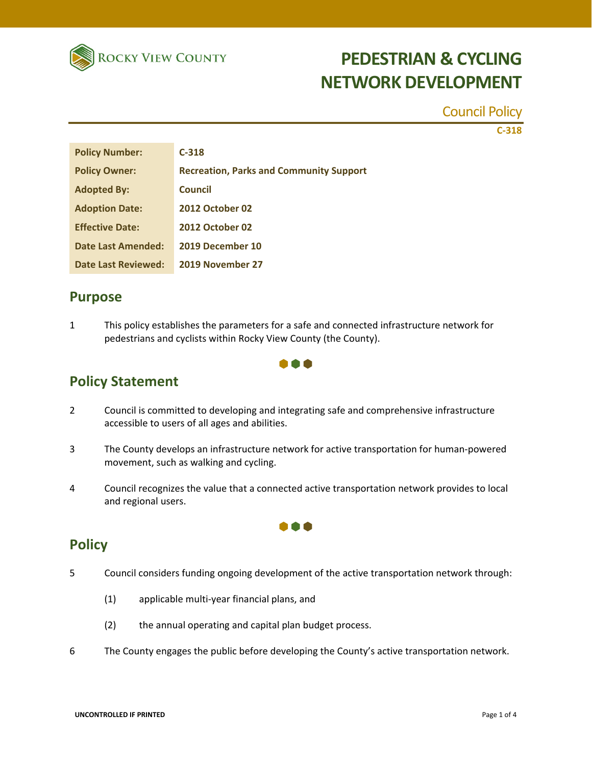

Council Policy

**C‐318**

| <b>Policy Number:</b>      | $C-318$                                        |
|----------------------------|------------------------------------------------|
| <b>Policy Owner:</b>       | <b>Recreation, Parks and Community Support</b> |
| <b>Adopted By:</b>         | <b>Council</b>                                 |
| <b>Adoption Date:</b>      | <b>2012 October 02</b>                         |
| <b>Effective Date:</b>     | <b>2012 October 02</b>                         |
| <b>Date Last Amended:</b>  | 2019 December 10                               |
| <b>Date Last Reviewed:</b> | 2019 November 27                               |

### **Purpose**

1 This policy establishes the parameters for a safe and connected infrastructure network for pedestrians and cyclists within Rocky View County (the County).

#### A A A

## **Policy Statement**

- 2 Council is committed to developing and integrating safe and comprehensive infrastructure accessible to users of all ages and abilities.
- 3 The County develops an infrastructure network for active transportation for human‐powered movement, such as walking and cycling.
- 4 Council recognizes the value that a connected active transportation network provides to local and regional users.

n a

## **Policy**

- 5 Council considers funding ongoing development of the active transportation network through:
	- (1) applicable multi‐year financial plans, and
	- (2) the annual operating and capital plan budget process.
- 6 The County engages the public before developing the County's active transportation network.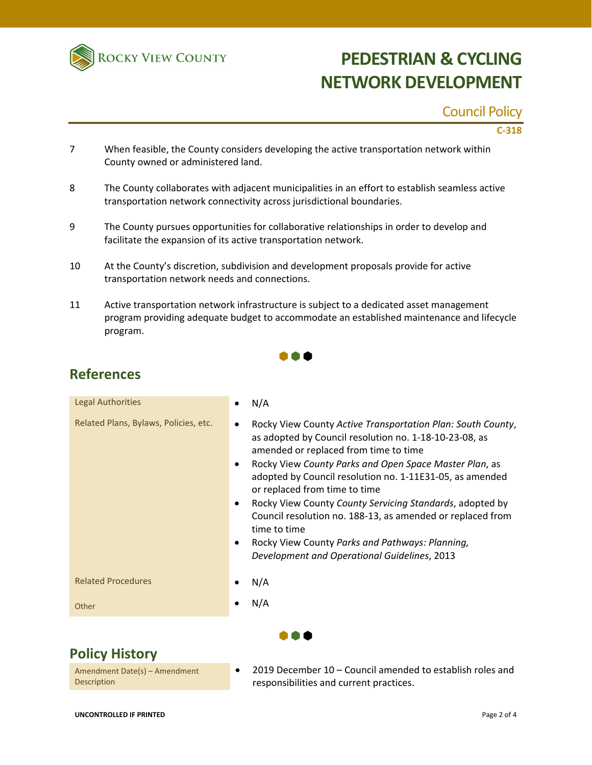

### Council Policy

#### **C‐318**

- 7 When feasible, the County considers developing the active transportation network within County owned or administered land.
- 8 The County collaborates with adjacent municipalities in an effort to establish seamless active transportation network connectivity across jurisdictional boundaries.
- 9 The County pursues opportunities for collaborative relationships in order to develop and facilitate the expansion of its active transportation network.
- 10 At the County's discretion, subdivision and development proposals provide for active transportation network needs and connections.
- 11 Active transportation network infrastructure is subject to a dedicated asset management program providing adequate budget to accommodate an established maintenance and lifecycle program.

| <b>Legal Authorities</b>              | N/A                                                                                                                                                                                                                                                                                                                                                                                                                                                                                                                                                                             |
|---------------------------------------|---------------------------------------------------------------------------------------------------------------------------------------------------------------------------------------------------------------------------------------------------------------------------------------------------------------------------------------------------------------------------------------------------------------------------------------------------------------------------------------------------------------------------------------------------------------------------------|
| Related Plans, Bylaws, Policies, etc. | Rocky View County Active Transportation Plan: South County,<br>as adopted by Council resolution no. 1-18-10-23-08, as<br>amended or replaced from time to time<br>Rocky View County Parks and Open Space Master Plan, as<br>$\bullet$<br>adopted by Council resolution no. 1-11E31-05, as amended<br>or replaced from time to time<br>Rocky View County County Servicing Standards, adopted by<br>Council resolution no. 188-13, as amended or replaced from<br>time to time<br>Rocky View County Parks and Pathways: Planning,<br>Development and Operational Guidelines, 2013 |
| <b>Related Procedures</b>             | N/A                                                                                                                                                                                                                                                                                                                                                                                                                                                                                                                                                                             |
| Other                                 | N/A                                                                                                                                                                                                                                                                                                                                                                                                                                                                                                                                                                             |
|                                       |                                                                                                                                                                                                                                                                                                                                                                                                                                                                                                                                                                                 |

## **Policy History**

Amendment Date(s) – Amendment **Description** 

 2019 December 10 – Council amended to establish roles and responsibilities and current practices.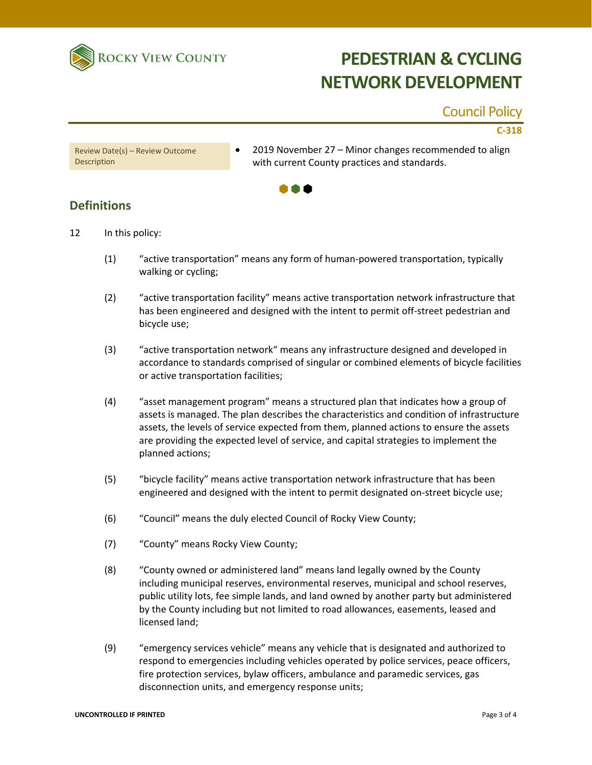

### Council Policy

#### **C‐318**

Review Date(s) – Review Outcome **Description** 

 2019 November 27 – Minor changes recommended to align with current County practices and standards.



### **Definitions**

- 12 In this policy:
	- (1) "active transportation" means any form of human‐powered transportation, typically walking or cycling;
	- (2) "active transportation facility" means active transportation network infrastructure that has been engineered and designed with the intent to permit off‐street pedestrian and bicycle use;
	- (3) "active transportation network" means any infrastructure designed and developed in accordance to standards comprised of singular or combined elements of bicycle facilities or active transportation facilities;
	- (4) "asset management program" means a structured plan that indicates how a group of assets is managed. The plan describes the characteristics and condition of infrastructure assets, the levels of service expected from them, planned actions to ensure the assets are providing the expected level of service, and capital strategies to implement the planned actions;
	- (5) "bicycle facility" means active transportation network infrastructure that has been engineered and designed with the intent to permit designated on-street bicycle use;
	- (6) "Council" means the duly elected Council of Rocky View County;
	- (7) "County" means Rocky View County;
	- (8) "County owned or administered land" means land legally owned by the County including municipal reserves, environmental reserves, municipal and school reserves, public utility lots, fee simple lands, and land owned by another party but administered by the County including but not limited to road allowances, easements, leased and licensed land;
	- (9) "emergency services vehicle" means any vehicle that is designated and authorized to respond to emergencies including vehicles operated by police services, peace officers, fire protection services, bylaw officers, ambulance and paramedic services, gas disconnection units, and emergency response units;